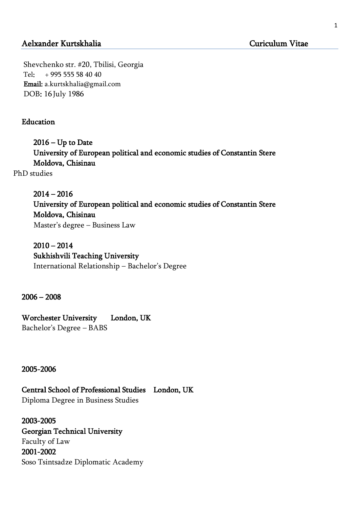# Aelxander Kurtskhalia Curiculum Vitae

Shevchenko str. #20, Tbilisi, Georgia Tel: + 995 555 58 40 40 Email: a.kurtskhalia@gmail.com DOB: 16 July 1986

### Education

 $2016 - Up$  to Date University of European political and economic studies of Constantin Stere Moldova, Chisinau

PhD studies

 2014 – 2016 University of European political and economic studies of Constantin Stere Moldova, Chisinau Master's degree – Business Law

 $2010 - 2014$  Sukhishvili Teaching University International Relationship – Bachelor's Degree

2006 – 2008

Worchester University London, UK Bachelor's Degree – BABS

2005-2006

Central School of Professional Studies London, UK

Diploma Degree in Business Studies

2003-2005 Georgian Technical University Faculty of Law 2001-2002 Soso Tsintsadze Diplomatic Academy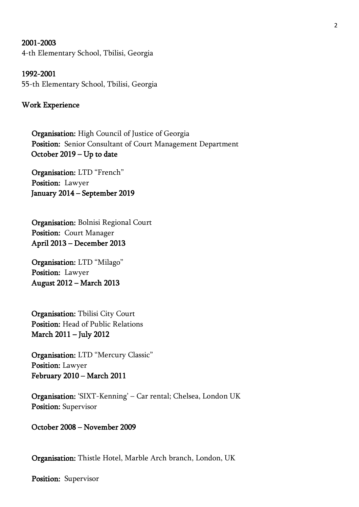#### 2001-2003

4-th Elementary School, Tbilisi, Georgia

1992-2001 55-th Elementary School, Tbilisi, Georgia

#### Work Experience

 Organisation: High Council of Justice of Georgia Position: Senior Consultant of Court Management Department October 2019 – Up to date

 Organisation: LTD "French" Position: Lawyer January 2014 – September 2019

 Organisation: Bolnisi Regional Court Position: Court Manager April 2013 – December 2013

 Organisation: LTD "Milago" Position: Lawyer August 2012 – March 2013

 Organisation: Tbilisi City Court Position: Head of Public Relations March 2011 – July 2012

 Organisation: LTD "Mercury Classic" Position: Lawyer February 2010 – March 2011

 Organisation: 'SIXT-Kenning' – Car rental; Chelsea, London UK Position: Supervisor

October 2008 – November 2009

Organisation: Thistle Hotel, Marble Arch branch, London, UK

Position: Supervisor